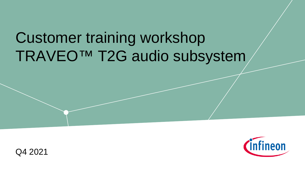# Customer training workshop TRAVEO™ T2G audio subsystem



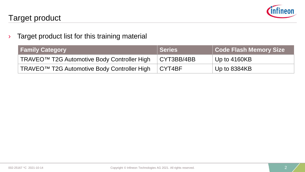

 $\rightarrow$  Target product list for this training material

| <b>Family Category</b>                                  | Series         | <b>Code Flash Memory Size</b> |
|---------------------------------------------------------|----------------|-------------------------------|
| TRAVEO <sup>™</sup> T2G Automotive Body Controller High | CYT3BB/4BB     | Up to 4160KB                  |
| TRAVEO <sup>™</sup> T2G Automotive Body Controller High | $\vert$ CYT4BF | $^{\circ}$ Up to 8384KB       |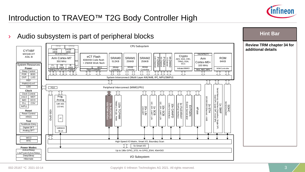

### Introduction to TRAVEO™ T2G Body Controller High

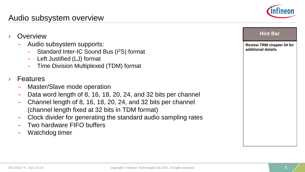#### Audio subsystem overview

- **Overview** 
	- Audio subsystem supports:
		- Standard Inter-IC Sound Bus (I2S) format
		- Left Justified (LJ) format
		- Time Division Multiplexed (TDM) format
- **Features** 
	- Master/Slave mode operation
	- Data word length of 8, 16, 18, 20, 24, and 32 bits per channel
	- Channel length of 8, 16, 18, 20, 24, and 32 bits per channel (channel length fixed at 32 bits in TDM format)
	- Clock divider for generating the standard audio sampling rates
	- Two hardware FIFO buffers
	- Watchdog timer



**Review TRM chapter 34 for** 

**Hint Bar** 

**additional details**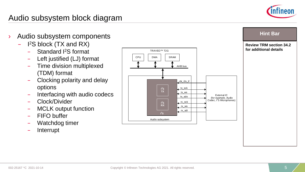

**Review TRM section 34.2 for additional details**

**Hint Bar** 

#### Audio subsystem block diagram

- › Audio subsystem components
	- $-$ 2S block (TX and RX)
		- Standard I2S format
		- Left justified (LJ) format
		- Time division multiplexed (TDM) format
		- Clocking polarity and delay options
		- Interfacing with audio codecs
		- Clock/Divider
		- MCLK output function
		- FIFO buffer
		- Watchdog timer
		- Interrupt

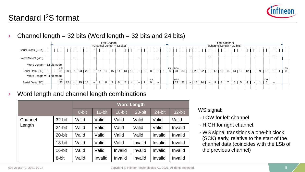

### Standard I2S format

Channel length =  $32$  bits (Word length =  $32$  bits and  $24$  bits)



Word length and channel length combinations

|         |        |       |         |         | <b>Word Length</b> |         |         |
|---------|--------|-------|---------|---------|--------------------|---------|---------|
|         |        | 8-bit | 16-bit  | 18-bit  | 20-bit             | 24-bit  | 32-bit  |
| Channel | 32-bit | Valid | Valid   | Valid   | Valid              | Valid   | Valid   |
| Length  | 24-bit | Valid | Valid   | Valid   | Valid              | Valid   | Invalid |
|         | 20-bit | Valid | Valid   | Valid   | Valid              | Invalid | Invalid |
|         | 18-bit | Valid | Valid   | Valid   | Invalid            | Invalid | Invalid |
|         | 16-bit | Valid | Valid   | Invalid | Invalid            | Invalid | Invalid |
|         | 8-bit  | Valid | Invalid | Invalid | Invalid            | Invalid | Invalid |

WS signal:

- LOW for left channel
- HIGH for right channel
- WS signal transitions a one-bit clock (SCK) early, relative to the start of the channel data (coincides with the LSb of the previous channel)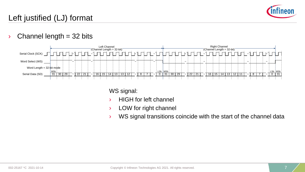

### Left justified (LJ) format

 $\rightarrow$  Channel length = 32 bits



WS signal:

- › HIGH for left channel
- › LOW for right channel
- $\angle$  WS signal transitions coincide with the start of the channel data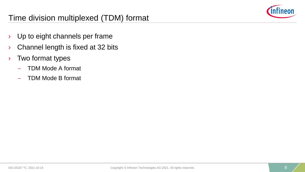

#### Time division multiplexed (TDM) format

- › Up to eight channels per frame
- $\rightarrow$  Channel length is fixed at 32 bits
- › Two format types
	- TDM Mode A format
	- TDM Mode B format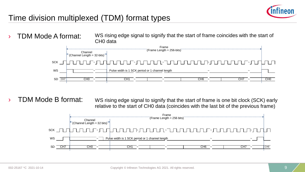

### Time division multiplexed (TDM) format types

› TDM Mode A format: WS rising edge signal to signify that the start of frame coincides with the start of CH0 data



TDM Mode B format: WS rising edge signal to signify that the start of frame is one bit clock (SCK) early relative to the start of CH0 data (coincides with the last bit of the previous frame)

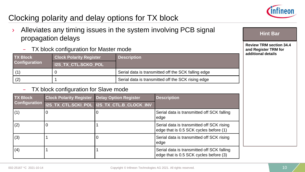

## Clocking polarity and delay options for TX block

- Alleviates any timing issues in the system involving PCB signal propagation delays
	- TX block configuration for Master mode

| <b>TX Block</b>      | <b>Clock Polarity Register</b> | <b>Description</b>                                  |
|----------------------|--------------------------------|-----------------------------------------------------|
| <b>Configuration</b> | <b>I2S TX CTL.SCKO POL</b>     |                                                     |
|                      |                                | Serial data is transmitted off the SCK falling edge |
| (2)                  |                                | Serial data is transmitted off the SCK rising edge  |

#### TX block configuration for Slave mode

| <b>TX Block</b>      | <b>Clock Polarity Register</b> | <b>Delay Option Register</b>                | <b>Description</b>                                                                   |
|----------------------|--------------------------------|---------------------------------------------|--------------------------------------------------------------------------------------|
| <b>Configuration</b> |                                | I2S_TX_CTL.SCKI_POL  I2S_TX_CTL.B_CLOCK_INV |                                                                                      |
| (1)                  | O                              | O                                           | Serial data is transmitted off SCK falling<br>edge                                   |
| (2)                  | O                              |                                             | Serial data is transmitted off SCK rising<br>edge that is 0.5 SCK cycles before (1)  |
| (3)                  |                                |                                             | Serial data is transmitted off SCK rising<br>edge                                    |
| (4)                  |                                |                                             | Serial data is transmitted off SCK falling<br>edge that is 0.5 SCK cycles before (3) |

**Hint Bar** 

**Review TRM section 34.4 and Register TRM for additional details**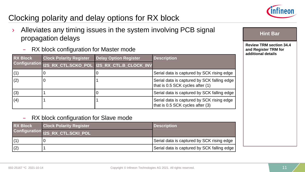

## Clocking polarity and delay options for RX block

- Alleviates any timing issues in the system involving PCB signal propagation delays
	- RX block configuration for Master mode

| <b>RX Block</b> | <b>Clock Polarity Register</b> | <b>Delay Option Register</b>                             | <b>Description</b>                                                              |  |
|-----------------|--------------------------------|----------------------------------------------------------|---------------------------------------------------------------------------------|--|
|                 |                                | Configuration 12S_RX_CTL.SCKO_POL 12S_RX_CTL.B_CLOCK_INV |                                                                                 |  |
|                 | υ                              |                                                          | Serial data is captured by SCK rising edge                                      |  |
| (2)             | 0                              |                                                          | Serial data is captured by SCK falling edge<br>that is 0.5 SCK cycles after (1) |  |
| (3)             |                                |                                                          | Serial data is captured by SCK falling edge                                     |  |
| (4)             |                                |                                                          | Serial data is captured by SCK rising edge<br>that is 0.5 SCK cycles after (3)  |  |

#### – RX block configuration for Slave mode

| <b>RX Block</b> | <b>Clock Polarity Register</b>    | <b>Description</b>                          |
|-----------------|-----------------------------------|---------------------------------------------|
|                 | Configuration 12S RX_CTL.SCKI_POL |                                             |
|                 |                                   | Serial data is captured by SCK rising edge  |
| (2)             |                                   | Serial data is captured by SCK falling edge |

**Hint Bar** 

**Review TRM section 34.4 and Register TRM for additional details**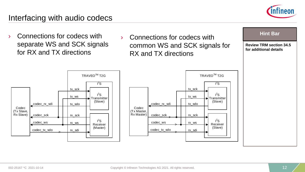

#### Interfacing with audio codecs

› Connections for codecs with separate WS and SCK signals for RX and TX directions



tx\_sck tx\_ws tx\_sdo

rx\_sck rx\_ws rx\_sdi

TRAVEOTM T2G

 $l^2S$ **Transmitter** (Slave)

 $1^2$ S

 $l^2S$ Receiver (Slave)



**Review TRM section 34.5 for additional details Hint Bar**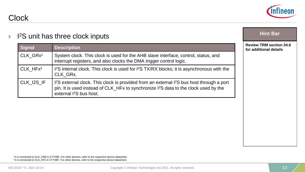

| Clock |
|-------|
|-------|

| 1 <sup>2</sup> S unit has three clock inputs |                                                                                                                                                                                                                                                              | <b>Hint Bar</b>                                          |
|----------------------------------------------|--------------------------------------------------------------------------------------------------------------------------------------------------------------------------------------------------------------------------------------------------------------|----------------------------------------------------------|
| <b>Signal</b>                                | <b>Description</b>                                                                                                                                                                                                                                           | <b>Review TRM section 34.6</b><br>for additional details |
| CLK GRx <sup>1</sup>                         | System clock. This clock is used for the AHB slave interface, control, status, and<br>interrupt registers, and also clocks the DMA trigger control logic.                                                                                                    |                                                          |
| $CLK$ HF $x^2$                               | I <sup>2</sup> S internal clock. This clock is used for I <sup>2</sup> S TX/RX blocks; it is asynchronous with the<br>CLK GRx.                                                                                                                               |                                                          |
| CLK_I2S_IF                                   | I <sup>2</sup> S external clock. This clock is provided from an external I <sup>2</sup> S bus host through a port<br>pin. It is used instead of CLK_HFx to synchronize I <sup>2</sup> S data to the clock used by the<br>external I <sup>2</sup> S bus host. |                                                          |

1 It is connected to CLK\_GR8 in CYT4BF. For other devices, refer to the respective device datasheet. <sup>2</sup> It is connected to CLK\_HF5 in CYT4BF. For other devices, refer to the respective device datasheet.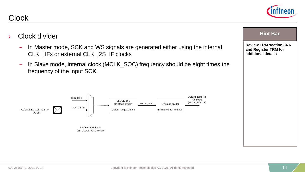**Review TRM section 34.6 and Register TRM for additional details**

**Hint Bar** 

## Clock divider

Clock

- In Master mode, SCK and WS signals are generated either using the internal CLK\_HFx or external CLK\_I2S\_IF clocks
- In Slave mode, internal clock (MCLK\_SOC) frequency should be eight times the frequency of the input SCK

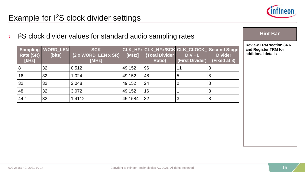

#### Example for I2S clock divider settings

<sup>3</sup> I<sup>2</sup>S clock divider values for standard audio sampling rates

| Rate (SR)<br>[kHz] | <b>Sampling WORD_LEN</b><br>[bits] | <b>SCK</b><br>$(2 \times WORD$ LEN $x$ SR)<br>[MHz] | [MHz]   | CLK_HFx CLK_HFx/SCK CLK_CLOCK_ Second Stage<br>(Total Divider<br><b>Ratio)</b> | $DIV + 1$<br>(First Divider) | <b>Divider</b><br>(Fixed at 8) |
|--------------------|------------------------------------|-----------------------------------------------------|---------|--------------------------------------------------------------------------------|------------------------------|--------------------------------|
|                    | 32                                 | 0.512                                               | 49.152  | 96                                                                             | 11                           | 8                              |
| 16                 | 32                                 | 1.024                                               | 49.152  | 48                                                                             | 5                            | 8                              |
| 32                 | 32                                 | 2.048                                               | 49.152  | 24                                                                             |                              | 8                              |
| 48                 | 32                                 | 3.072                                               | 49.152  | 16                                                                             |                              | 8                              |
| 44.1               | 32                                 | 1.4112                                              | 45.1584 | 32                                                                             |                              | 8                              |

#### **Hint Bar**

**Review TRM section 34.6 and Register TRM for additional details**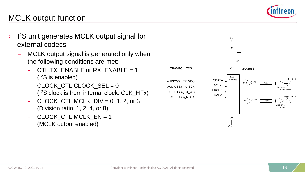

#### MCLK output function

- <sup>3</sup> I<sup>2</sup>S unit generates MCLK output signal for external codecs
	- MCLK output signal is generated only when the following conditions are met:
		- CTL.TX ENABLE or RX ENABLE = 1 (I2S is enabled)
		- CLOCK\_CTL.CLOCK\_SEL = 0 (I2S clock is from internal clock: CLK\_HFx)
		- CLOCK CTL.MCLK  $DIV = 0, 1, 2, or 3$ (Division ratio: 1, 2, 4, or 8)
		- CLOCK CTL.MCLK  $EN = 1$ (MCLK output enabled)

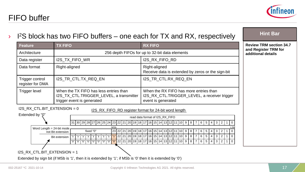

| <b>Feature</b>                                                                  | <b>TX FIFO</b>                                                                                                                                                                                                                                                                       | <b>RX FIFO</b>                                                                                                                                                                                                                                                                                                                               | <b>Review TRM section 34.7</b>             |
|---------------------------------------------------------------------------------|--------------------------------------------------------------------------------------------------------------------------------------------------------------------------------------------------------------------------------------------------------------------------------------|----------------------------------------------------------------------------------------------------------------------------------------------------------------------------------------------------------------------------------------------------------------------------------------------------------------------------------------------|--------------------------------------------|
| Architecture                                                                    |                                                                                                                                                                                                                                                                                      | 256 depth FIFOs for up to 32-bit data elements                                                                                                                                                                                                                                                                                               | and Register TRM for<br>additional details |
| Data register                                                                   | I2S_TX_FIFO_WR                                                                                                                                                                                                                                                                       | I2S_RX_FIFO_RD                                                                                                                                                                                                                                                                                                                               |                                            |
| Data format                                                                     | Right-aligned                                                                                                                                                                                                                                                                        | Right-aligned<br>Receive data is extended by zeros or the sign-bit                                                                                                                                                                                                                                                                           |                                            |
| Trigger control<br>register for DMA                                             | I2S_TR_CTL.TX_REQ_EN                                                                                                                                                                                                                                                                 | I2S_TR_CTL.RX_REQ_EN                                                                                                                                                                                                                                                                                                                         |                                            |
| Trigger level                                                                   | When the TX FIFO has less entries than<br>I2S_TX_CTL.TRIGGER_LEVEL, a transmitter<br>trigger event is generated                                                                                                                                                                      | When the RX FIFO has more entries than<br>I2S_RX_CTL.TRIGGER_LEVEL, a receiver trigger<br>event is generated                                                                                                                                                                                                                                 |                                            |
| I2S_RX_CTL.BIT_EXTENSION = 0<br>Extended by "0"<br>Word Length $= 24$ -bit mode | I2S_RX_FIFO_RD register format for 24-bit word length<br>31 30 29 28 27 26 25 24 23 22<br> 21 <br>MSh<br>fixed "0"<br>23 22 21 20 19 18 17<br>not Bit extension<br><b>Bit extension</b><br> "0" "0" "0" "0" "0" "0" "0" <mark> "0" 22 21 20 19 18 17 16 15 </mark> 14 13 12 11 10  9 | read data format of I2S RX FIFO<br> 20   19   18   17   16   15   14   13   12   11   10   9   8<br>6<br>3 <sup>1</sup><br>l 2<br>5<br>4<br>  13   12<br>5<br>3<br>10<br>9<br>6<br>$\overline{4}$<br>2<br>161<br>14<br>8<br>15<br>22 21 20 19 18 17 16 15 14 13 12 11<br>9<br>l 10 l<br>l 8 l<br>6<br>5<br>$4 \mid 3$<br>l 2 l<br>$1\vert 0$ |                                            |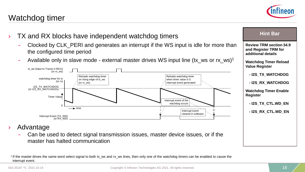**Advantage** 

#### 1 If the master drives the same word select signal to both tx\_ws and rx\_ws lines, then only one of the watchdog timers can be enabled to cause the interrupt event.



## Watchdog timer

| the configured time period<br>Available only in slave mode - external master drives WS input line (tx_ws or rx_ws) <sup>1</sup>                                                           |                                                                                  | additional details<br><b>Watchdog Timer Reload</b><br><b>Value Register</b>          |
|-------------------------------------------------------------------------------------------------------------------------------------------------------------------------------------------|----------------------------------------------------------------------------------|--------------------------------------------------------------------------------------|
| tx ws (input to Traveo II MCU)<br>$($ or rx ws $)$<br>Reloads watchdog timer<br>watchdog timer for tx<br>on rising edge of tx_ws<br>$($ or rx $)$<br>(or rx ws)<br><b>I2S TX WATCHDOG</b> | Reloads watchdog timer<br>when timer value is 0.<br>Interrupt event generated    | - I2S_TX_WATCHDOG<br>- I2S_RX_WATCHDOG                                               |
| (or I2S RX WATCHDOG)<br><b>Timer Value</b><br>$\longrightarrow$ time                                                                                                                      | Interrupt event of the<br>wachdog occurs<br>-----------------<br>Interrupt event | <b>Watchdog Timer Enable</b><br>Register<br>- I2S_TX_CTL.WD_EN<br>- I2S_RX_CTL.WD_EN |
| Interrupt Event (TX_WD)<br>(or RX_WD)<br>vantage                                                                                                                                          | cleared in software                                                              |                                                                                      |



- Clocked by CLK\_PERI and generates an interrupt if the WS input is idle for thanks of more than the configured time period
- Available only in slave mode external master drives WS input line (tx





**Hint Bar**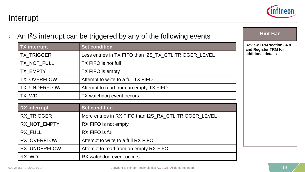**Review TRM section 34.8 and Register TRM for additional details**

**Hint Bar** 

Interrupt

#### $\lambda$  An I<sup>2</sup>S interrupt can be triggered by any of the following events

| TX interrupt | <b>Set condition</b>                                  |
|--------------|-------------------------------------------------------|
| TX_TRIGGER   | Less entries in TX FIFO than I2S_TX_CTL.TRIGGER_LEVEL |
| TX_NOT_FULL  | TX FIFO is not full                                   |
| TX EMPTY     | TX FIFO is empty                                      |
| TX OVERFLOW  | Attempt to write to a full TX FIFO                    |
| TX UNDERFLOW | Attempt to read from an empty TX FIFO                 |
| TX_WD        | TX watchdog event occurs                              |

| <b>RX</b> interrupt | <b>Set condition</b>                                  |  |
|---------------------|-------------------------------------------------------|--|
| <b>RX TRIGGER</b>   | More entries in RX FIFO than I2S RX CTL.TRIGGER LEVEL |  |
| RX_NOT_EMPTY        | RX FIFO is not empty                                  |  |
| RX FULL             | RX FIFO is full                                       |  |
| RX OVERFLOW         | Attempt to write to a full RX FIFO                    |  |
| RX UNDERFLOW        | Attempt to read from an empty RX FIFO                 |  |
| RX WD               | RX watchdog event occurs                              |  |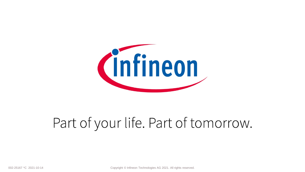

# Part of your life. Part of tomorrow.

002-25167 \*C 2021-10-14 Copyright © Infineon Technologies AG 2021. All rights reserved. 20